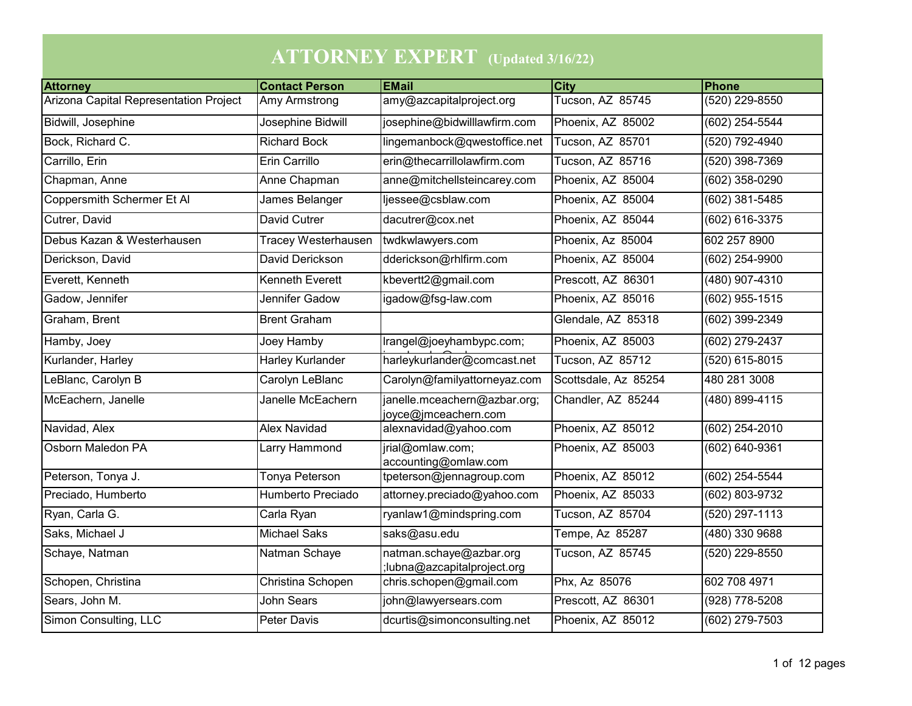| <b>ATTORNEY EXPERT</b> (Updated 3/16/22) |                            |                                                        |                      |                    |  |  |  |
|------------------------------------------|----------------------------|--------------------------------------------------------|----------------------|--------------------|--|--|--|
| <b>Attorney</b>                          | <b>Contact Person</b>      | <b>EMail</b>                                           | <b>City</b>          | Phone              |  |  |  |
| Arizona Capital Representation Project   | Amy Armstrong              | amy@azcapitalproject.org                               | Tucson, AZ 85745     | (520) 229-8550     |  |  |  |
| <b>Bidwill, Josephine</b>                | Josephine Bidwill          | josephine@bidwilllawfirm.com                           | Phoenix, AZ 85002    | (602) 254-5544     |  |  |  |
| Bock, Richard C.                         | <b>Richard Bock</b>        | lingemanbock@qwestoffice.net                           | Tucson, AZ 85701     | (520) 792-4940     |  |  |  |
| Carrillo, Erin                           | Erin Carrillo              | erin@thecarrillolawfirm.com                            | Tucson, AZ 85716     | $(520)$ 398-7369   |  |  |  |
| Chapman, Anne                            | Anne Chapman               | anne@mitchellsteincarey.com                            | Phoenix, AZ 85004    | (602) 358-0290     |  |  |  |
| Coppersmith Schermer Et Al               | James Belanger             | ljessee@csblaw.com                                     | Phoenix, AZ 85004    | $(602)$ 381-5485   |  |  |  |
| Cutrer, David                            | <b>David Cutrer</b>        | dacutrer@cox.net                                       | Phoenix, AZ 85044    | (602) 616-3375     |  |  |  |
| Debus Kazan & Westerhausen               | <b>Tracey Westerhausen</b> | twdkwlawyers.com                                       | Phoenix, Az 85004    | 602 257 8900       |  |  |  |
| Derickson, David                         | David Derickson            | dderickson@rhlfirm.com                                 | Phoenix, AZ 85004    | (602) 254-9900     |  |  |  |
| Everett, Kenneth                         | <b>Kenneth Everett</b>     | kbevertt2@gmail.com                                    | Prescott, AZ 86301   | (480) 907-4310     |  |  |  |
| Gadow, Jennifer                          | Jennifer Gadow             | igadow@fsg-law.com                                     | Phoenix, AZ 85016    | $(602)$ 955-1515   |  |  |  |
| Graham, Brent                            | <b>Brent Graham</b>        |                                                        | Glendale, AZ 85318   | $(602)$ 399-2349   |  |  |  |
| Hamby, Joey                              | Joey Hamby                 | Irangel@joeyhambypc.com;                               | Phoenix, AZ 85003    | $(602)$ 279-2437   |  |  |  |
| Kurlander, Harley                        | <b>Harley Kurlander</b>    | harleykurlander@comcast.net                            | Tucson, AZ 85712     | $(520)$ 615-8015   |  |  |  |
| LeBlanc, Carolyn B                       | Carolyn LeBlanc            | Carolyn@familyattorneyaz.com                           | Scottsdale, Az 85254 | 480 281 3008       |  |  |  |
| McEachern, Janelle                       | Janelle McEachern          | janelle.mceachern@azbar.org;<br>joyce@jmceachern.com   | Chandler, AZ 85244   | (480) 899-4115     |  |  |  |
| Navidad, Alex                            | <b>Alex Navidad</b>        | alexnavidad@yahoo.com                                  | Phoenix, AZ 85012    | $(602)$ 254-2010   |  |  |  |
| Osborn Maledon PA                        | <b>Larry Hammond</b>       | jrial@omlaw.com;<br>accounting@omlaw.com               | Phoenix, AZ 85003    | $(602) 640 - 9361$ |  |  |  |
| Peterson, Tonya J.                       | Tonya Peterson             | tpeterson@jennagroup.com                               | Phoenix, AZ 85012    | (602) 254-5544     |  |  |  |
| Preciado, Humberto                       | <b>Humberto Preciado</b>   | attorney.preciado@yahoo.com                            | Phoenix, AZ 85033    | (602) 803-9732     |  |  |  |
| Ryan, Carla G.                           | Carla Ryan                 | ryanlaw1@mindspring.com                                | Tucson, AZ 85704     | $(520)$ 297-1113   |  |  |  |
| Saks, Michael J                          | <b>Michael Saks</b>        | saks@asu.edu                                           | Tempe, Az 85287      | (480) 330 9688     |  |  |  |
| Schaye, Natman                           | Natman Schaye              | natman.schaye@azbar.org<br>;lubna@azcapitalproject.org | Tucson, AZ 85745     | (520) 229-8550     |  |  |  |
| Schopen, Christina                       | Christina Schopen          | chris.schopen@gmail.com                                | Phx, Az 85076        | 602 708 4971       |  |  |  |
| Sears, John M.                           | <b>John Sears</b>          | john@lawyersears.com                                   | Prescott, AZ 86301   | $(928)$ 778-5208   |  |  |  |
| <b>Simon Consulting, LLC</b>             | <b>Peter Davis</b>         | dcurtis@simonconsulting.net                            | Phoenix, AZ 85012    | (602) 279-7503     |  |  |  |